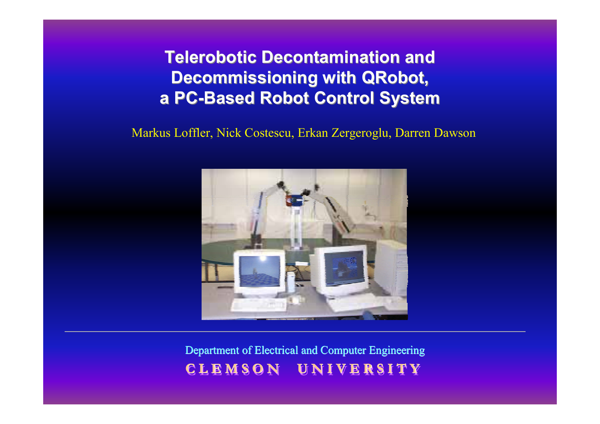**Telerobotic Decontamination and Telerobotic Decontamination and Decommissioning with QRobot, a PC -Based Robot Control System Based Robot Control System**

Markus Loffler, Nick Costescu, Erkan Zergeroglu, Darren Dawson



Department of Electrical and Computer Engineering **C L E M S O N U N I V E R S I T Y C L E M S O N U N I V E R S I T Y C L E M S O N U N I V E R S I T Y**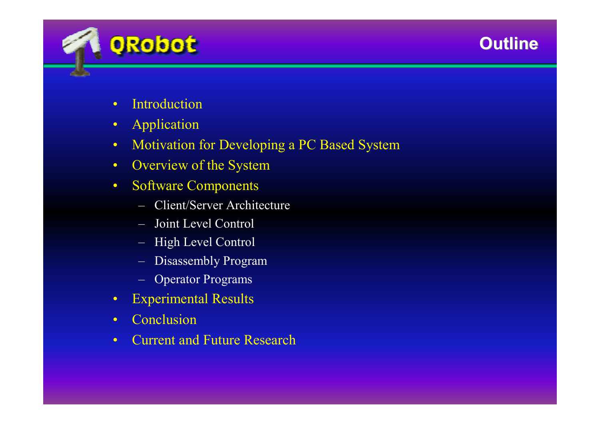# **Outline Outline**



- •Introduction
- •Application
- •Motivation for Developing a PC Based System
- •Overview of the System
- • Software Components
	- Client/Server Architecture
	- Joint Level Control
	- High Level Control
	- Disassembly Program
	- Operator Programs
- $\bullet$ Experimental Results
- •Conclusion
- •Current and Future Research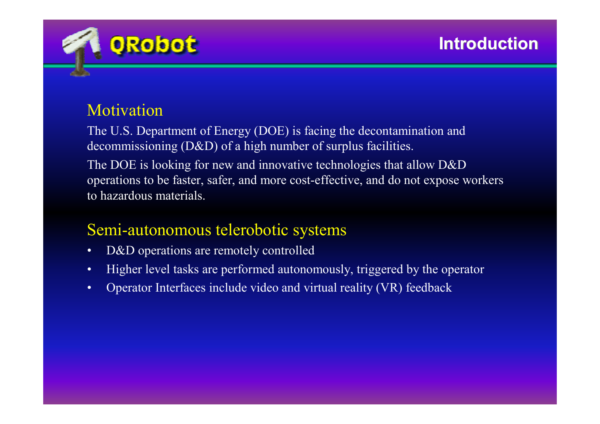

# Motivation

The U.S. Department of Energy (DOE) is facing the decontamination and decommissioning (D&D) of a high number of surplus facilities. The DOE is looking for new and innovative technologies that allow D&D operations to be faster, safer, and more cost-effective, and do not expose workers to hazardous materials.

# Semi-autonomous telerobotic systems

- •D&D operations are remotely controlled
- •Higher level tasks are performed autonomously, triggered by the operator
- •Operator Interfaces include video and virtual reality (VR) feedback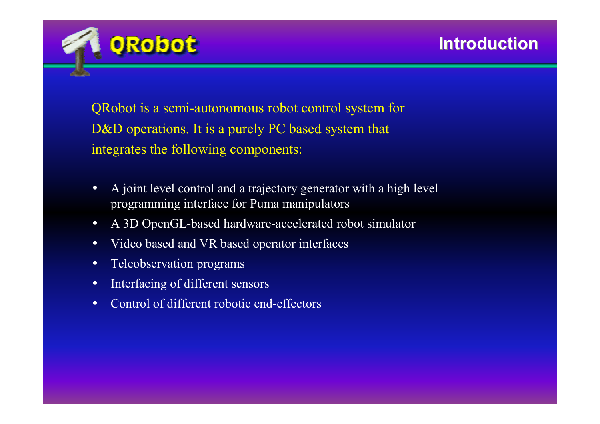

QRobot is a semi-autonomous robot control system for D&D operations. It is a purely PC based system that integrates the following components:

- • A joint level control and a trajectory generator with a high level programming interface for Puma manipulators
- •A 3D OpenGL-based hardware-accelerated robot simulator
- •Video based and VR based operator interfaces
- •Teleobservation programs
- •Interfacing of different sensors
- •Control of different robotic end-effectors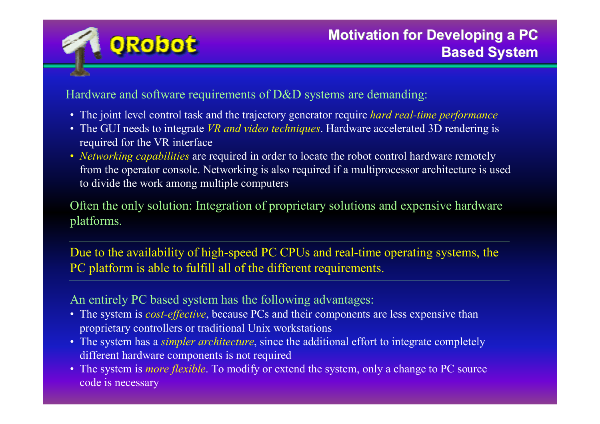

Hardware and software requirements of D&D systems are demanding:

- The joint level control task and the trajectory generator require *hard real-time performance*
- The GUI needs to integrate *VR and video techniques*. Hardware accelerated 3D rendering is required for the VR interface
- *Networking capabilities* are required in order to locate the robot control hardware remotely from the operator console. Networking is also required if a multiprocessor architecture is used to divide the work among multiple computers

Often the only solution: Integration of proprietary solutions and expensive hardware platforms.

Due to the availability of high-speed PC CPUs and real-time operating systems, the PC platform is able to fulfill all of the different requirements.

An entirely PC based system has the following advantages:

- The system is *cost-effective*, because PCs and their components are less expensive than proprietary controllers or traditional Unix workstations
- The system has a *simpler architecture*, since the additional effort to integrate completely different hardware components is not required
- The system is *more flexible*. To modify or extend the system, only a change to PC source code is necessary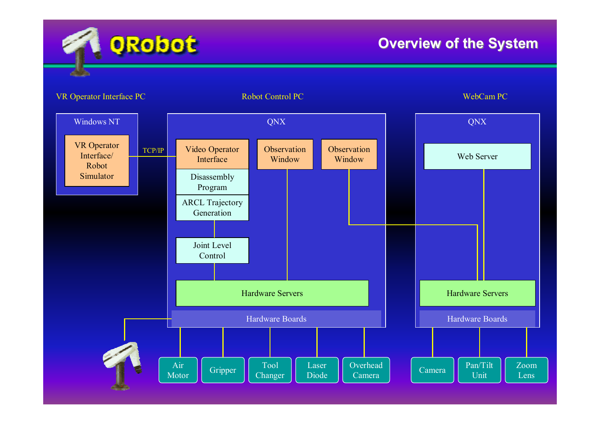

## **Overview of the System**

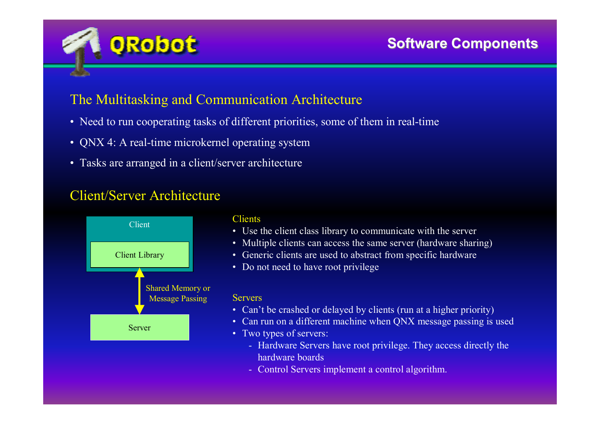

### The Multitasking and Communication Architecture

- Need to run cooperating tasks of different priorities, some of them in real-time
- QNX 4: A real-time microkernel operating system
- Tasks are arranged in a client/server architecture

### Client/Server Architecture

**ORobot** 



#### **Clients**

- Use the client class library to communicate with the server
- Multiple clients can access the same server (hardware sharing)
- Generic clients are used to abstract from specific hardware
- Do not need to have root privilege

#### **Servers**

- Can't be crashed or delayed by clients (run at a higher priority)
- Can run on a different machine when QNX message passing is used
- Two types of servers:
	- Hardware Servers have root privilege. They access directly the hardware boards
	- Control Servers implement a control algorithm.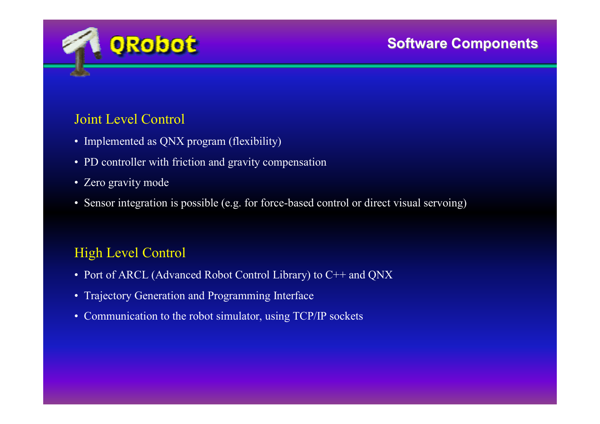

### Joint Level Control

- Implemented as QNX program (flexibility)
- PD controller with friction and gravity compensation
- Zero gravity mode
- Sensor integration is possible (e.g. for force-based control or direct visual servoing)

## High Level Control

- Port of ARCL (Advanced Robot Control Library) to C++ and QNX
- Trajectory Generation and Programming Interface
- Communication to the robot simulator, using TCP/IP sockets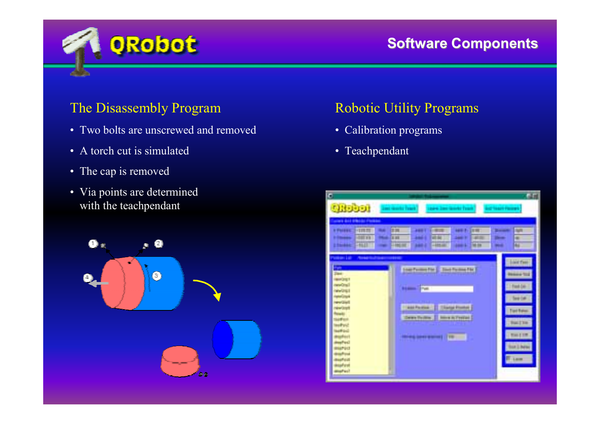

## **Software Components Software Components**

### The Disassembly Program

- Two bolts are unscrewed and removed
- A torch cut is simulated
- The cap is removed
- Via points are determined with the teachpendant



### Robotic Utility Programs

- Calibration programs
- Teachpendant

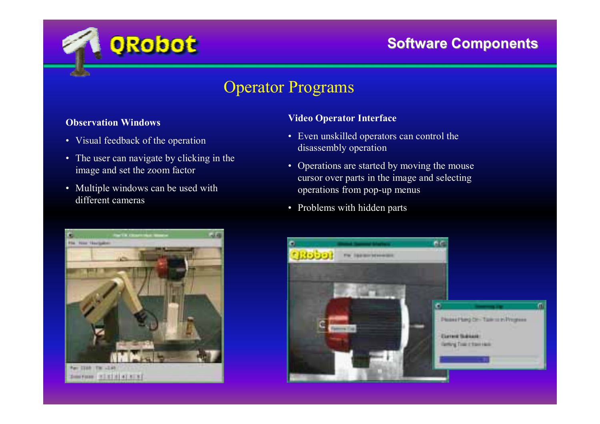

## Operator Programs

#### **Observation Windows**

- Visual feedback of the operation
- The user can navigate by clicking in the image and set the zoom factor

**ORobot** 

• Multiple windows can be used with different cameras



#### **Video Operator Interface**

- Even unskilled operators can control the disassembly operation
- Operations are started by moving the mouse cursor over parts in the image and selecting operations from pop-up menus
- Problems with hidden parts

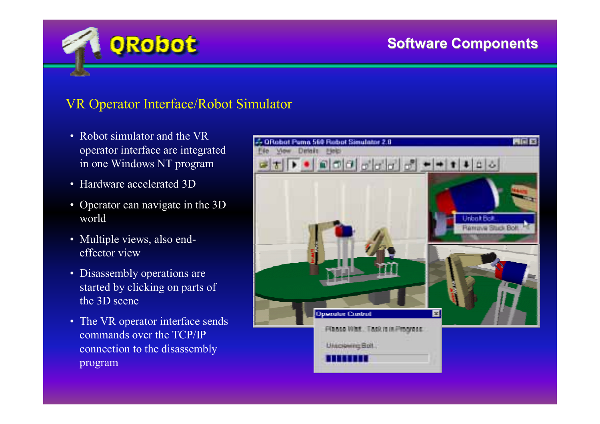## **Software Components Software Components**

### VR Operator Interface/Robot Simulator

• Robot simulator and the VR operator interface are integrated in one Windows NT program

**ORobot** 

- Hardware accelerated 3D
- Operator can navigate in the 3D world
- Multiple views, also endeffector view
- Disassembly operations are started by clicking on parts of the 3D scene
- The VR operator interface sends commands over the TCP/IP connection to the disassembly program

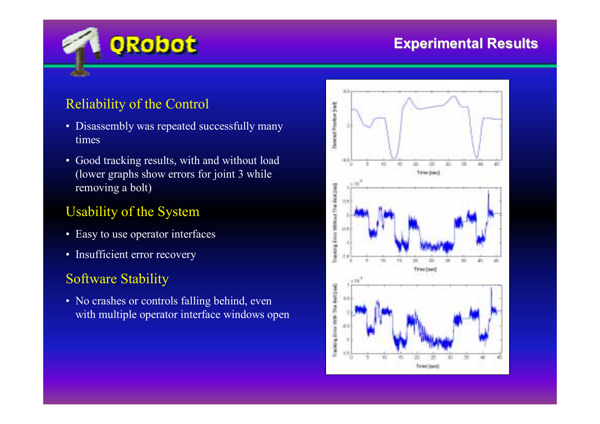

## **Experimental Results Experimental Results**

## Reliability of the Control

- Disassembly was repeated successfully many times
- Good tracking results, with and without load (lower graphs show errors for joint 3 while removing a bolt)

## Usability of the System

- Easy to use operator interfaces
- Insufficient error recovery

## Software Stability

• No crashes or controls falling behind, even with multiple operator interface windows open

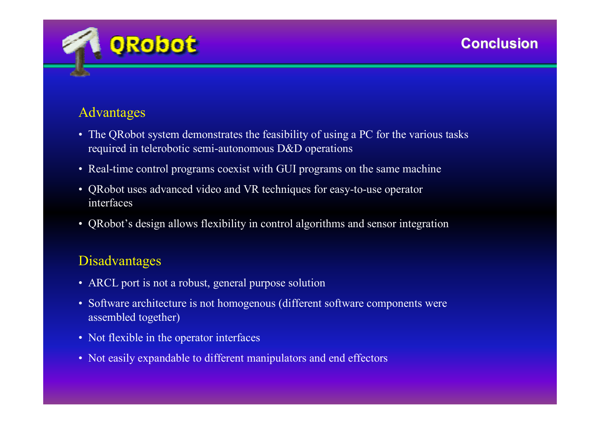

## Advantages

- The QRobot system demonstrates the feasibility of using a PC for the various tasks required in telerobotic semi-autonomous D&D operations
- Real-time control programs coexist with GUI programs on the same machine
- QRobot uses advanced video and VR techniques for easy-to-use operator interfaces
- QRobot's design allows flexibility in control algorithms and sensor integration

## Disadvantages

- ARCL port is not a robust, general purpose solution
- Software architecture is not homogenous (different software components were assembled together)
- Not flexible in the operator interfaces
- Not easily expandable to different manipulators and end effectors